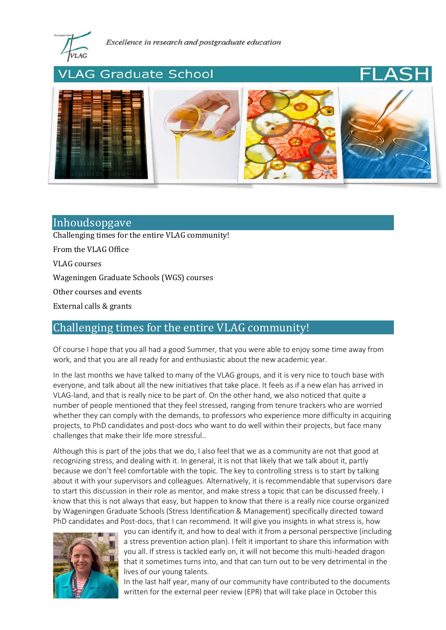

## **AG Graduate School**





# Inhoudsopgave

[Challenging times for the entire VLAG community!](#page-0-0)

[From the VLAG Office](#page-1-0)

[VLAG courses](#page-2-0)

[Wageningen Graduate Schools \(WGS\) courses](#page-3-0)

[Other courses and events](#page-3-1)

[External calls & grants](#page-3-2)

# <span id="page-0-0"></span>Challenging times for the entire VLAG community!

Of course I hope that you all had a good Summer, that you were able to enjoy some time away from work, and that you are all ready for and enthusiastic about the new academic year.

In the last months we have talked to many of the VLAG groups, and it is very nice to touch base with everyone, and talk about all the new initiatives that take place. It feels as if a new elan has arrived in VLAG-land, and that is really nice to be part of. On the other hand, we also noticed that quite a number of people mentioned that they feel stressed, ranging from tenure trackers who are worried whether they can comply with the demands, to professors who experience more difficulty in acquiring projects, to PhD candidates and post-docs who want to do well within their projects, but face many challenges that make their life more stressful..

Although this is part of the jobs that we do, I also feel that we as a community are not that good at recognizing stress, and dealing with it. In general, it is not that likely that we talk about it, partly because we don't feel comfortable with the topic. The key to controlling stress is to start by talking about it with your supervisors and colleagues. Alternatively, it is recommendable that supervisors dare to start this discussion in their role as mentor, and make stress a topic that can be discussed freely. I know that this is not always that easy, but happen to know that there is a really nice course organized by Wageningen Graduate Schools (Stress Identification & Management) specifically directed toward PhD candidates and Post-docs, that I can recommend. It will give you insights in what stress is, how



you can identify it, and how to deal with it from a personal perspective (including a stress prevention action plan). I felt it important to share this information with you all. If stress is tackled early on, it will not become this multi-headed dragon that it sometimes turns into, and that can turn out to be very detrimental in the lives of our young talents.

In the last half year, many of our community have contributed to the documents written for the external peer review (EPR) that will take place in October this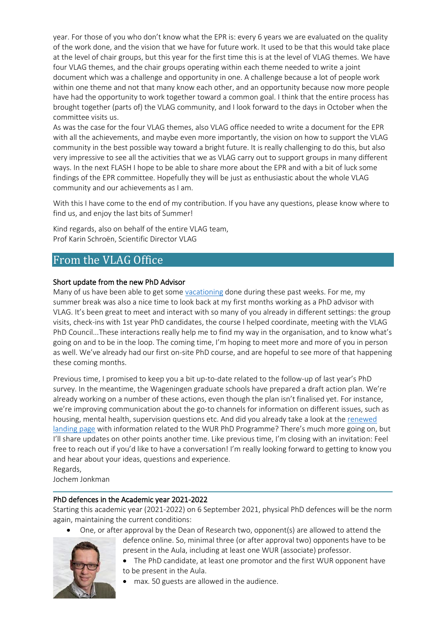year. For those of you who don't know what the EPR is: every 6 years we are evaluated on the quality of the work done, and the vision that we have for future work. It used to be that this would take place at the level of chair groups, but this year for the first time this is at the level of VLAG themes. We have four VLAG themes, and the chair groups operating within each theme needed to write a joint document which was a challenge and opportunity in one. A challenge because a lot of people work within one theme and not that many know each other, and an opportunity because now more people have had the opportunity to work together toward a common goal. I think that the entire process has brought together (parts of) the VLAG community, and I look forward to the days in October when the committee visits us.

As was the case for the four VLAG themes, also VLAG office needed to write a document for the EPR with all the achievements, and maybe even more importantly, the vision on how to support the VLAG community in the best possible way toward a bright future. It is really challenging to do this, but also very impressive to see all the activities that we as VLAG carry out to support groups in many different ways. In the next FLASH I hope to be able to share more about the EPR and with a bit of luck some findings of the EPR committee. Hopefully they will be just as enthusiastic about the whole VLAG community and our achievements as I am.

With this I have come to the end of my contribution. If you have any questions, please know where to find us, and enjoy the last bits of Summer!

Kind regards, also on behalf of the entire VLAG team, Prof Karin Schroën, Scientific Director VLAG

## <span id="page-1-0"></span>From the VLAG Office

### Short update from the new PhD Advisor

Many of us have been able to get some [vacationing](http://phdcomics.com/comics/archive.php?comicid=2037) done during these past weeks. For me, my summer break was also a nice time to look back at my first months working as a PhD advisor with VLAG. It's been great to meet and interact with so many of you already in different settings: the group visits, check-ins with 1st year PhD candidates, the course I helped coordinate, meeting with the VLAG PhD Council...These interactions really help me to find my way in the organisation, and to know what's going on and to be in the loop. The coming time, I'm hoping to meet more and more of you in person as well. We've already had our first on-site PhD course, and are hopeful to see more of that happening these coming months.

Previous time, I promised to keep you a bit up-to-date related to the follow-up of last year's PhD survey. In the meantime, the Wageningen graduate schools have prepared a draft action plan. We're already working on a number of these actions, even though the plan isn't finalised yet. For instance, we're improving communication about the go-to channels for information on different issues, such as housing, mental health, supervision questions etc. And did you already take a look at the [renewed](https://www.wur.nl/en/Education-Programmes/PhD-Programme.htm)  [landing page](https://www.wur.nl/en/Education-Programmes/PhD-Programme.htm) with information related to the WUR PhD Programme? There's much more going on, but I'll share updates on other points another time. Like previous time, I'm closing with an invitation: Feel free to reach out if you'd like to have a conversation! I'm really looking forward to getting to know you and hear about your ideas, questions and experience. Regards,

Jochem Jonkman

### PhD defences in the Academic year 2021-2022

Starting this academic year (2021-2022) on 6 September 2021, physical PhD defences will be the norm again, maintaining the current conditions:

• One, or after approval by the Dean of Research two, opponent(s) are allowed to attend the





- The PhD candidate, at least one promotor and the first WUR opponent have to be present in the Aula.
	- max. 50 guests are allowed in the audience.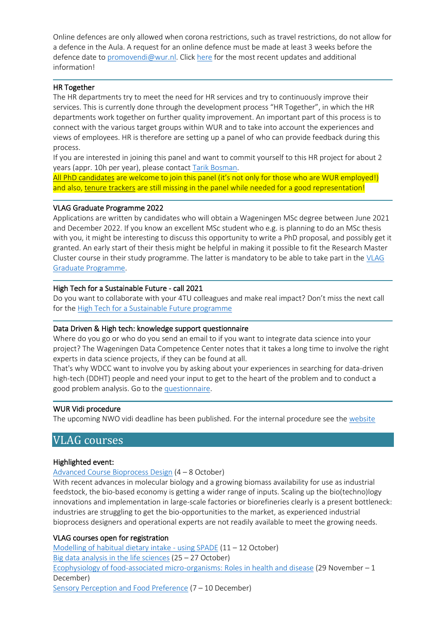Online defences are only allowed when corona restrictions, such as travel restrictions, do not allow for a defence in the Aula. A request for an online defence must be made at least 3 weeks before the defence date to [promovendi@wur.nl.](promovendi@wur.nl) Click [here](https://www.wur.nl/en/Education-Programmes/PhD-Programme/PhD-and-corona.htm) for the most recent updates and additional information!

#### HR Together

The HR departments try to meet the need for HR services and try to continuously improve their services. This is currently done through the development process "HR Together", in which the HR departments work together on further quality improvement. An important part of this process is to connect with the various target groups within WUR and to take into account the experiences and views of employees. HR is therefore are setting up a panel of who can provide feedback during this process.

If you are interested in joining this panel and want to commit yourself to this HR project for about 2 years (appr. 10h per year), please contact [Tarik Bosman.](mailto:tarik.bosman@wur.nl)

All PhD candidates are welcome to join this panel (it's not only for those who are WUR employed!) and also, tenure trackers are still missing in the panel while needed for a good representation!

#### VLAG Graduate Programme 2022

Applications are written by candidates who will obtain a Wageningen MSc degree between June 2021 and December 2022. If you know an excellent MSc student who e.g. is planning to do an MSc thesis with you, it might be interesting to discuss this opportunity to write a PhD proposal, and possibly get it granted. An early start of their thesis might be helpful in making it possible to fit the Research Master Cluster course in their study programme. The latter is mandatory to be able to take part in the [VLAG](https://www.vlaggraduateschool.nl/en/research-1/VLAG-Calls.htm)  [Graduate Programme.](https://www.vlaggraduateschool.nl/en/research-1/VLAG-Calls.htm)

#### High Tech for a Sustainable Future - call 2021

Do you want to collaborate with your 4TU colleagues and make real impact? Don't miss the next call for th[e High Tech for a Sustainable Future programme](https://pronuntio.4tu.nl/2-pErsrkg8H38YYY2UnkKC-sVbI5w3WotsmhyniTTAJyeSukX2sCYQI1sW8iYi8Mb_qy2PR6q5lI1OToGEf1mF4_YQnLGAMQ5qx7nH6aAh0QE3EzZ4Xvd7ww)

#### Data Driven & High tech: knowledge support questionnaire

Where do you go or who do you send an email to if you want to integrate data science into your project? The Wageningen Data Competence Center notes that it takes a long time to involve the right experts in data science projects, if they can be found at all.

That's why WDCC want to involve you by asking about your experiences in searching for data-driven high-tech (DDHT) people and need your input to get to the heart of the problem and to conduct a good problem analysis. Go to th[e questionnaire.](https://nl.surveymonkey.com/r/WJ3F52J)

#### WUR Vidi procedure

<span id="page-2-0"></span>The upcoming NWO vidi deadline has been published. For the internal procedure see the [website](https://intranet.wur.nl/umbraco/en/practical-information/research-support/personal-grants/)

# VLAG courses

### Highlighted event:

#### [Advanced Course Bioprocess Design](https://www.vlaggraduateschool.nl/en/courses/course/Advanced-Course-Bioprocess-Design21.htm) (4 – 8 October)

With recent advances in molecular biology and a growing biomass availability for use as industrial feedstock, the bio-based economy is getting a wider range of inputs. Scaling up the bio(techno)logy innovations and implementation in large-scale factories or biorefineries clearly is a present bottleneck: industries are struggling to get the bio-opportunities to the market, as experienced industrial bioprocess designers and operational experts are not readily available to meet the growing needs.

#### VLAG courses open for registration

[Modelling of habitual dietary intake -](https://www.vlaggraduateschool.nl/en/courses/course/MHDI21.htm) using SPADE (11 – 12 October) [Big data analysis in the life sciences](https://www.vlaggraduateschool.nl/en/courses/course/BDA21.htm)  $(25 – 27 October)$ [Ecophysiology of food-associated micro-organisms: Roles](https://www.vlaggraduateschool.nl/en/courses/course/Eco21.htm) in health and disease (29 November – 1 December) [Sensory Perception and Food Preference](https://www.vlaggraduateschool.nl/en/courses/course/SENS21.htm) (7 – 10 December)